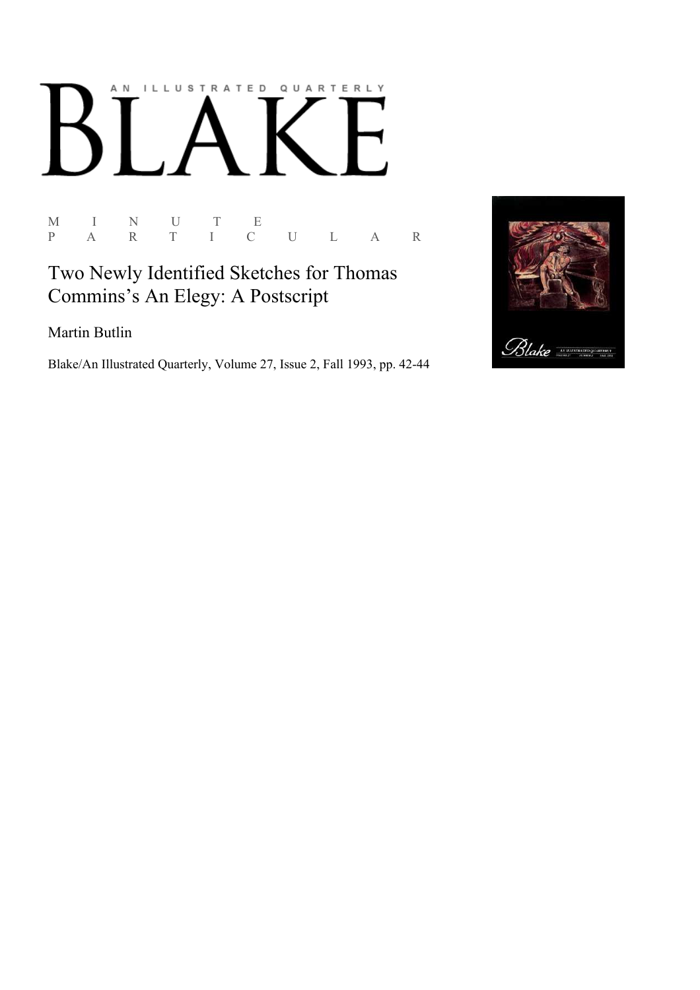# AN ILLUSTRATED QUARTERLY

M I N U T E P A R T I C U L A R

Two Newly Identified Sketches for Thomas Commins's An Elegy: A Postscript

Martin Butlin

Blake/An Illustrated Quarterly, Volume 27, Issue 2, Fall 1993, pp. 42-44

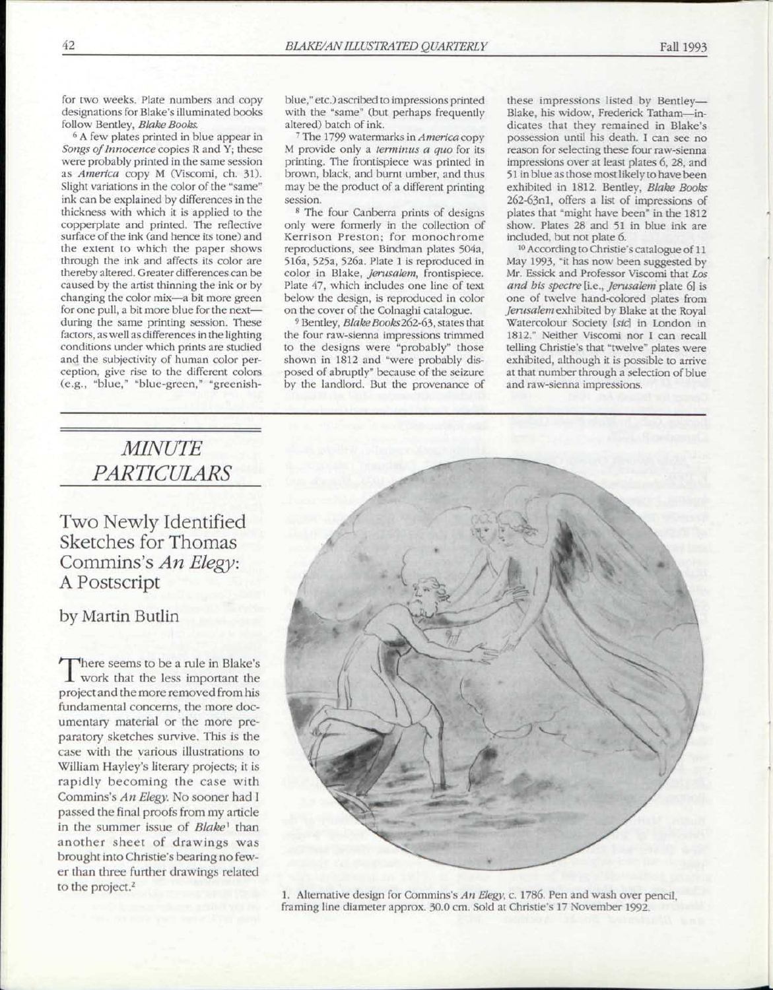for two weeks. Plate numbers and copy designations for Blake's illuminated books follow Bentley, *Blake Books.* 

6 A few plates printed in blue appear in *Songs of Innocence* copies R and Y; these were probably printed in the same session as *America* copy M (Viscomi, ch. 3D. Slight variations in the color of the "same" ink can be explained by differences in the thickness with which it is applied to the copperplate and printed. The reflective surface of the ink (and hence its tone) and the extent to which the paper shows through the ink and affects its color are thereby altered. Greater differences can be caused by the artist thinning the ink or by changing the color mix—a bit more green for one pull, a bit more blue for the next during the same printing session. These factors, as well as differences in the lighting conditions under which prints are studied and the subjectivity of human color perception, give rise to the different colors (e.g., "blue," "blue-green," "greenish-

blue," etc.) ascribed to impressions printed with the "same" (but perhaps frequently altered) batch of ink.

7 The 1799 watermarks in *America* copy M provide only a *terminus a quo* for its printing. The frontispiece was printed in brown, black, and burnt umber, and thus may be the product of a different printing session.

8 The four Canberra prints of designs only were formerly in the collection of Kerrison Preston; for monochrome reproductions, see Bindman plates 504a, 5l6a, 525a, 526a. Plate 1 is reproduced in color in Blake, *Jerusalem,* frontispiece. Plate 47, which includes one line of text below the design, is reproduced in color on the cover of the Colnaghi catalogue.

9 Bentley, *Blake Books 262-63,* states that the four raw-sienna impressions trimmed to the designs were "probably" those shown in 1812 and "were probably disposed of abruptly" because of the seizure by the landlord. But the provenance of

these impressions listed by Bentley— Blake, his widow, Frederick Tatham—indicates that they remained in Blake's possession until his death. I can see no reason for selecting these four raw-sienna impressions over at least plates 6, 28, and 51 in blue as those most likely to have been exhibited in 1812. Bentley, *Blake Books*  262-63nl, offers a list of impressions of plates that "might have been" in the 1812 show. Plates 28 and 51 in blue ink are included, but not plate 6.

10 According to Christie's catalogue of 11 May 1993, "it has now been suggested by Mr. Essick and Professor Viscomi that *Los and his spectre* [i.e., *Jerusalem* plate 6] is one of twelve hand-colored plates from *Jerusalem* exhibited by Blake at the Royal Watercolour Society *[sic]* in London in 1812." Neither Viscomi nor I can recall telling Christie's that "twelve" plates were exhibited, although it is possible to arrive at that number through a selection of blue and raw-sienna impressions.

# *MINUTE PARTICULARS*

Two Newly Identified Sketches for Thomas Commins's *An Elegy-.*  A Postscript

### by Martin Butlin

There seems to be a rule in Blake's<br>work that the less important the here seems to be a rule in Blake's project and the more removed from his fundamental concerns, the more documentary material or the more preparatory sketches survive. This is the case with the various illustrations to William Hayley's literary projects; it is rapidly becoming the case with Commins's *An Elegy.* No sooner had I passed the final proofs from my article in the summer issue of *Blake<sup>1</sup>* than another sheet of drawings was brought into Christie's bearing no fewer than three further drawings related to the project.<sup>2</sup>



1. Alternative design for Commins's *An Elegy,* c. 1786. Pen and wash over pencil, framing line diameter approx. 30.0 cm. Sold at Christie's 17 November 1992.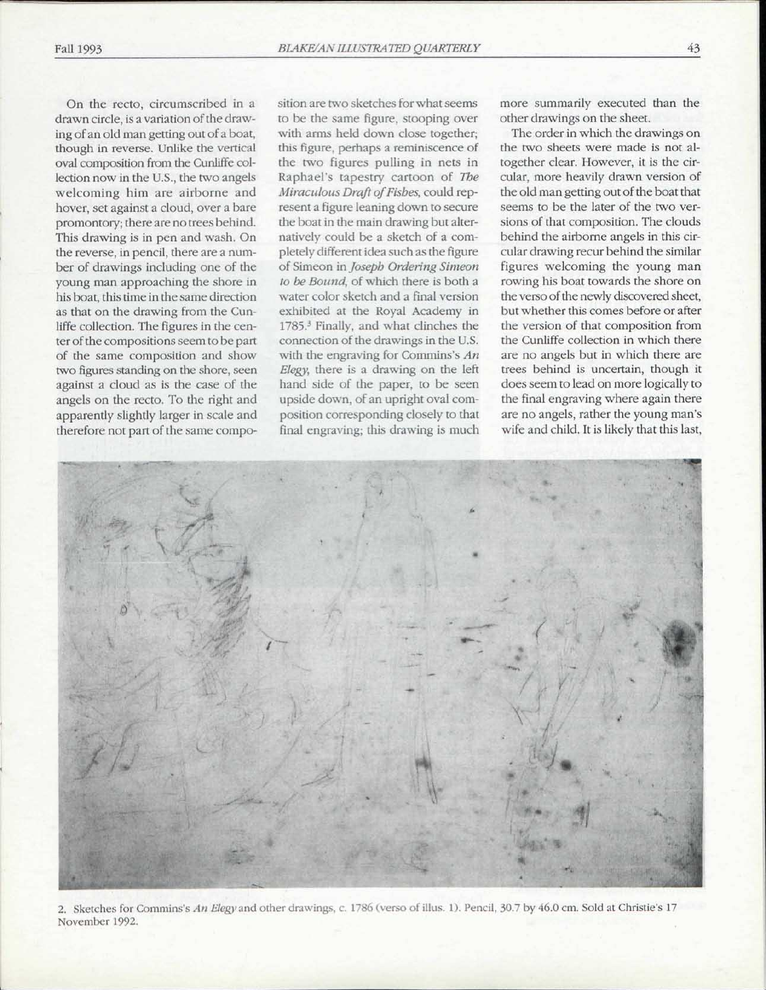On the recto, circumscribed in a drawn circle, is a variation of the drawing of an old man getting out of a boat, though in reverse. Unlike the vertical oval composition from the Cunliffe collection now in the U.S., the two angels welcoming him are airborne and hover, set against a cloud, over a bare promontory; there are no trees behind. This drawing is in pen and wash. On the reverse, in pencil, there are a number of drawings including one of the young man approaching the shore in his boat, this time in the same direction as that on the drawing from the Cunliffe collection. The figures in the center of the compositions seem to be part of the same composition and show two figures standing on the shore, seen against a cloud as is the case of the angels on the recto. To the right and apparently slightly larger in scale and therefore not part of the same compo-

sition are two sketches for what seems to be the same figure, stooping over with arms held down close together; this figure, perhaps a reminiscence of the two figures pulling in nets in Raphael's tapestry cartoon of *The Miraculous Draft of Fishes,* could represent a figure leaning down to secure the boat in the main drawing but alternatively could be a sketch of a completely different idea such as the figure of Simeon in *Joseph Ordering Simeon to be Bound,* of which there is both a water color sketch and a final version exhibited at the Royal Academy in 1785.<sup>3</sup> Finally, and what clinches the connection of the drawings in the U.S. with the engraving for Commins's *An Elegy,* there is a drawing on the left hand side of the paper, to be seen upside down, of an upright oval composition corresponding closely to that final engraving; this drawing is much

more summarily executed than the other drawings on the sheet.

The order in which the drawings on the two sheets were made is not altogether clear. However, it is the circular, more heavily drawn version of the old man getting out of the boat that seems to be the later of the two versions of that composition. The clouds behind the airborne angels in this circular drawing recur behind the similar figures welcoming the young man rowing his boat towards the shore on the verso of the newly discovered sheet, but whether this comes before or after the version of that composition from the Cunliffe collection in which there are no angels but in which there are trees behind is uncertain, though it does seem to lead on more logically to the final engraving where again there are no angels, rather the young man's wife and child. It is likely that this last,



2. Sketches for Commins's *An Elegy* and other drawings, c. 1786 (verso of illus. 1). Pencil, 30.7 by 46.0 cm. Sold at Christie's 17 November 1992.